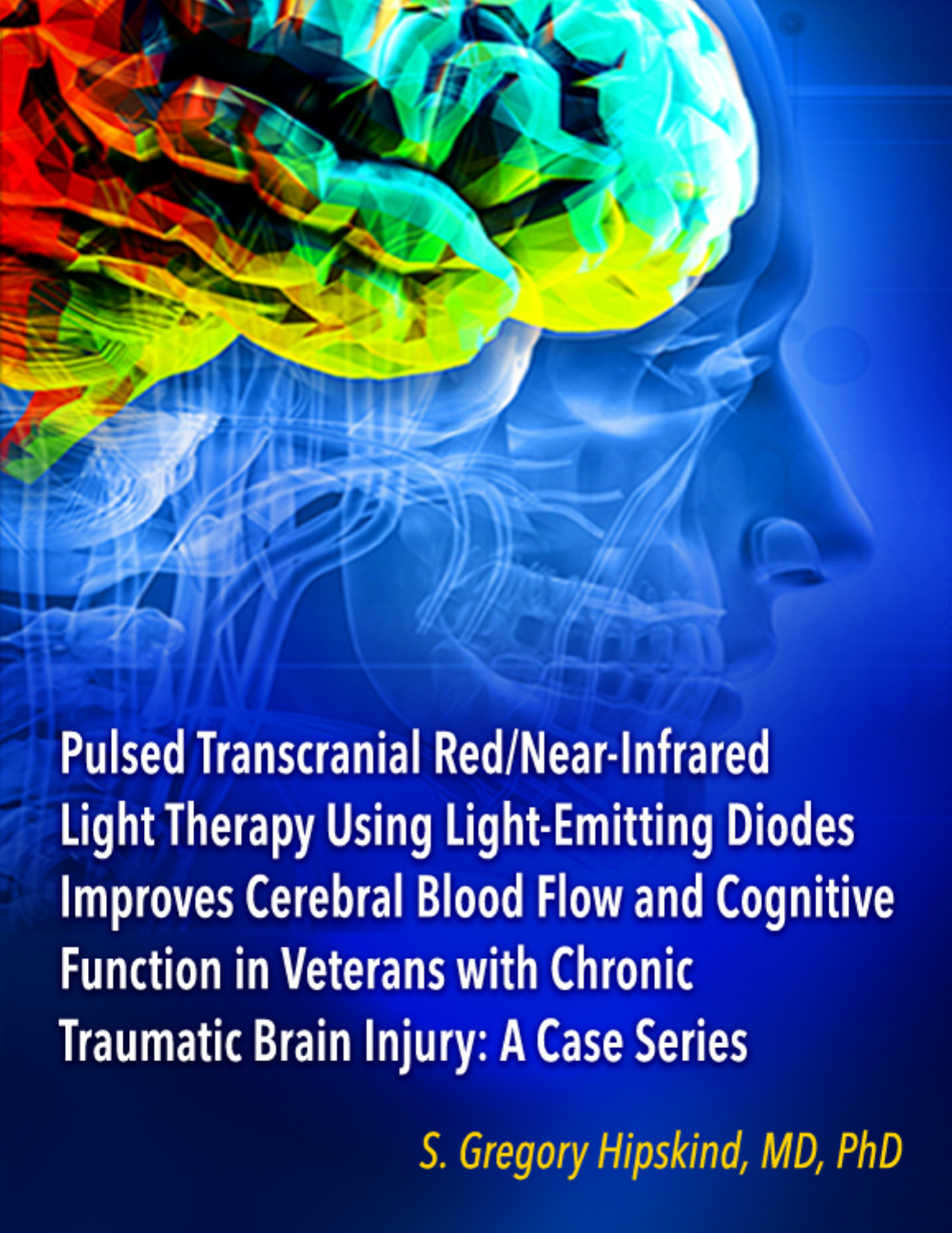**Pulsed Transcranial Red/Near-Infrared Light Therapy Using Light-Emitting Diodes Improves Cerebral Blood Flow and Cognitive Function in Veterans with Chronic Traumatic Brain Injury: A Case Series** 

S. Gregory Hipskind, MD, PhD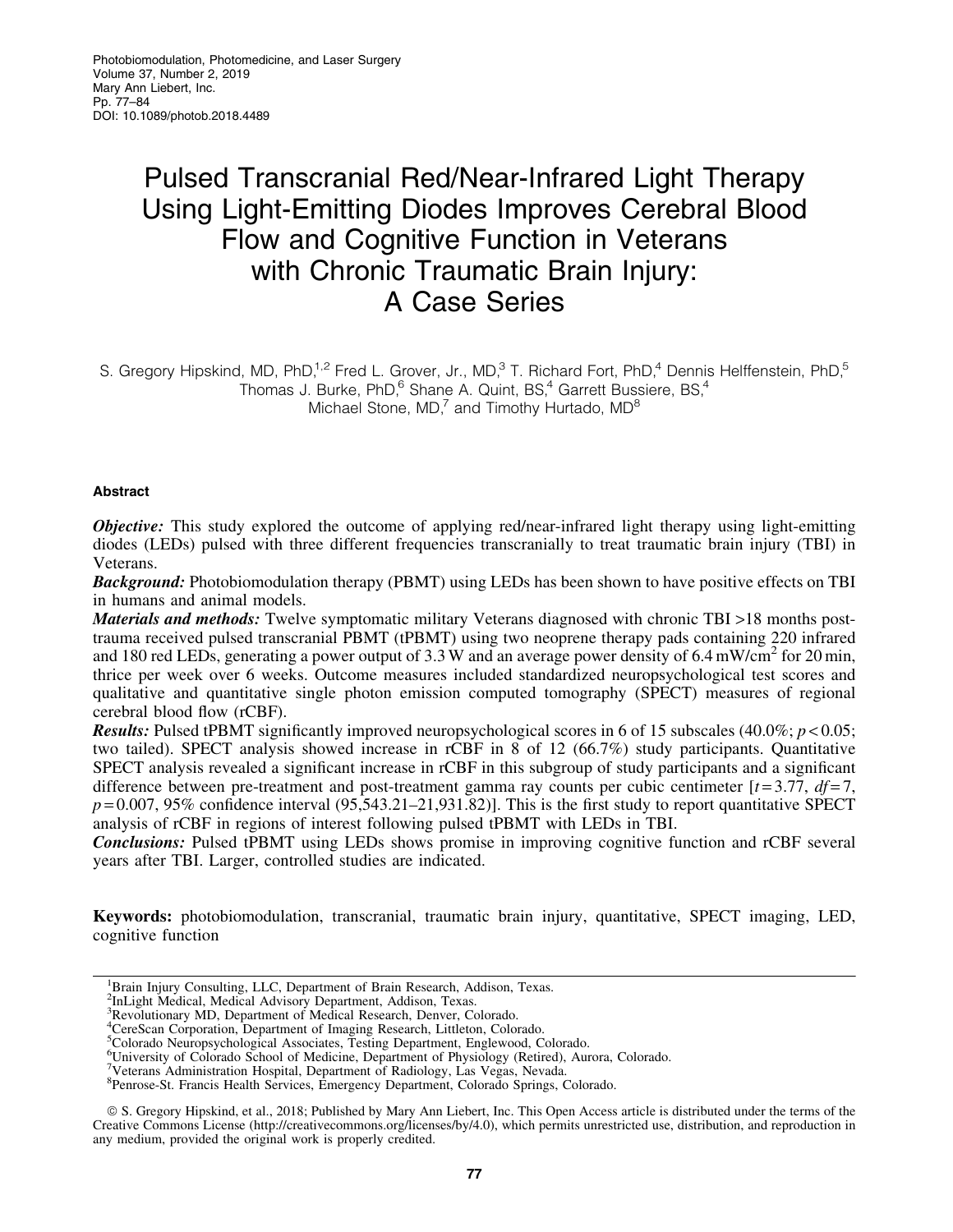# Pulsed Transcranial Red/Near-Infrared Light Therapy Using Light-Emitting Diodes Improves Cerebral Blood Flow and Cognitive Function in Veterans with Chronic Traumatic Brain Injury: A Case Series

S. Gregory Hipskind, MD, PhD,<sup>1,2</sup> Fred L. Grover, Jr., MD,<sup>3</sup> T. Richard Fort, PhD,<sup>4</sup> Dennis Helffenstein, PhD,<sup>5</sup> Thomas J. Burke, PhD,<sup>6</sup> Shane A. Quint, BS,<sup>4</sup> Garrett Bussiere, BS,<sup>4</sup> Michael Stone,  $MD<sub>1</sub><sup>7</sup>$  and Timothy Hurtado,  $MD<sup>8</sup>$ 

# Abstract

**Objective:** This study explored the outcome of applying red/near-infrared light therapy using light-emitting diodes (LEDs) pulsed with three different frequencies transcranially to treat traumatic brain injury (TBI) in Veterans.

**Background:** Photobiomodulation therapy (PBMT) using LEDs has been shown to have positive effects on TBI in humans and animal models.

Materials and methods: Twelve symptomatic military Veterans diagnosed with chronic TBI >18 months posttrauma received pulsed transcranial PBMT (tPBMT) using two neoprene therapy pads containing 220 infrared and 180 red LEDs, generating a power output of 3.3 W and an average power density of 6.4 mW/cm<sup>2</sup> for 20 min, thrice per week over 6 weeks. Outcome measures included standardized neuropsychological test scores and qualitative and quantitative single photon emission computed tomography (SPECT) measures of regional cerebral blood flow (rCBF).

Results: Pulsed tPBMT significantly improved neuropsychological scores in 6 of 15 subscales (40.0%; *p* < 0.05; two tailed). SPECT analysis showed increase in rCBF in 8 of 12 (66.7%) study participants. Quantitative SPECT analysis revealed a significant increase in rCBF in this subgroup of study participants and a significant difference between pre-treatment and post-treatment gamma ray counts per cubic centimeter  $[t=3.77, df=7,$  $p = 0.007$ , 95% confidence interval (95,543.21–21,931.82)]. This is the first study to report quantitative SPECT analysis of rCBF in regions of interest following pulsed tPBMT with LEDs in TBI.

Conclusions: Pulsed tPBMT using LEDs shows promise in improving cognitive function and rCBF several years after TBI. Larger, controlled studies are indicated.

Keywords: photobiomodulation, transcranial, traumatic brain injury, quantitative, SPECT imaging, LED, cognitive function

<sup>1</sup>Brain Injury Consulting, LLC, Department of Brain Research, Addison, Texas.

5 Colorado Neuropsychological Associates, Testing Department, Englewood, Colorado.

ª S. Gregory Hipskind, et al., 2018; Published by Mary Ann Liebert, Inc. This Open Access article is distributed under the terms of the Creative Commons License (http://creativecommons.org/licenses/by/4.0), which permits unrestricted use, distribution, and reproduction in any medium, provided the original work is properly credited.

<sup>&</sup>lt;sup>2</sup>InLight Medical, Medical Advisory Department, Addison, Texas.

<sup>3</sup> Revolutionary MD, Department of Medical Research, Denver, Colorado.

<sup>4</sup> CereScan Corporation, Department of Imaging Research, Littleton, Colorado.

<sup>&</sup>lt;sup>6</sup>University of Colorado School of Medicine, Department of Physiology (Retired), Aurora, Colorado.

<sup>&</sup>lt;sup>7</sup>Veterans Administration Hospital, Department of Radiology, Las Vegas, Nevada.

<sup>8</sup> Penrose-St. Francis Health Services, Emergency Department, Colorado Springs, Colorado.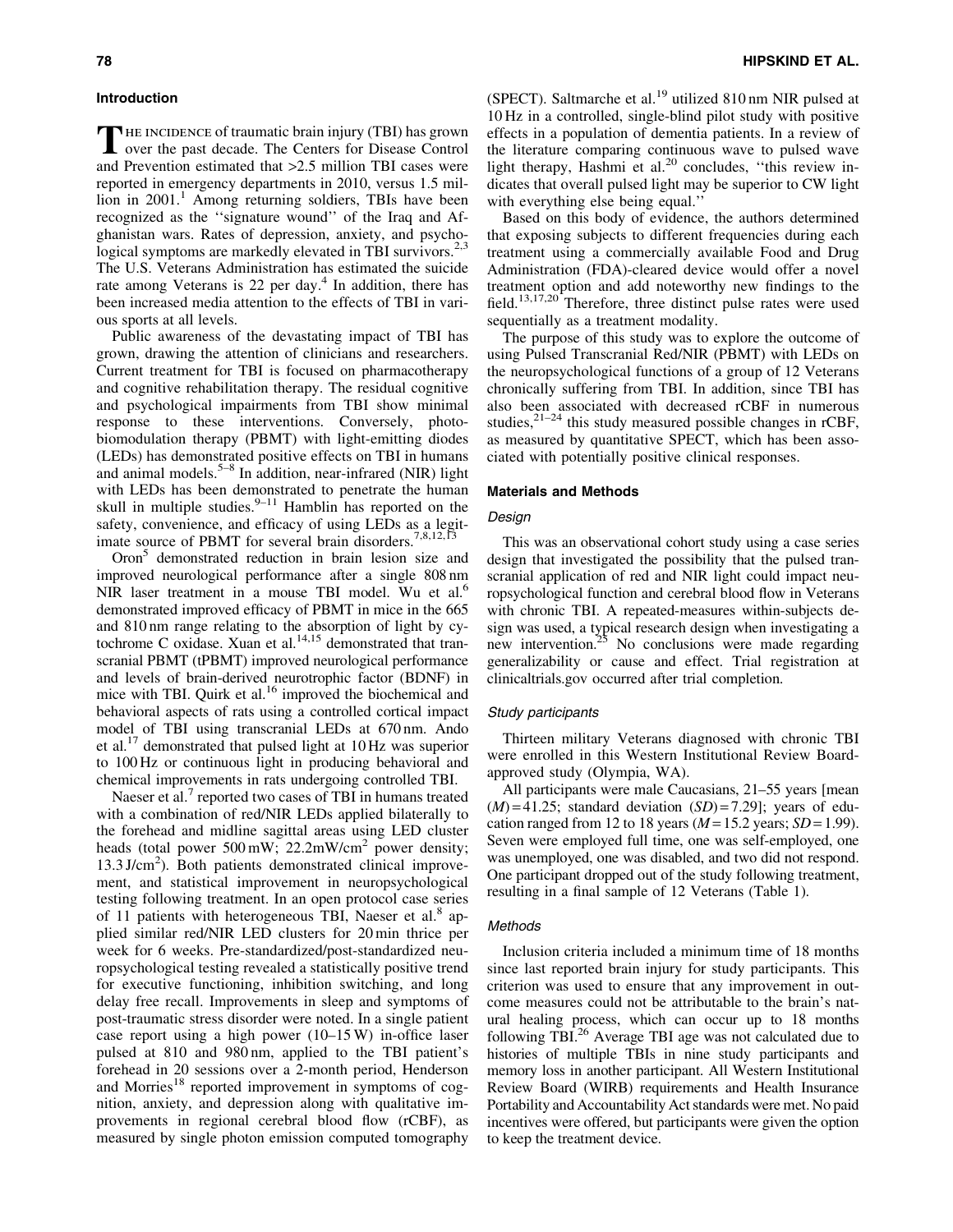# Introduction

THE INCIDENCE of traumatic brain injury (TBI) has grown<br>over the past decade. The Centers for Disease Control and Prevention estimated that >2.5 million TBI cases were reported in emergency departments in 2010, versus 1.5 million in  $2001$ .<sup>1</sup> Among returning soldiers, TBIs have been recognized as the ''signature wound'' of the Iraq and Afghanistan wars. Rates of depression, anxiety, and psychological symptoms are markedly elevated in TBI survivors.<sup>2,3</sup> The U.S. Veterans Administration has estimated the suicide rate among Veterans is 22 per day.<sup>4</sup> In addition, there has been increased media attention to the effects of TBI in various sports at all levels.

Public awareness of the devastating impact of TBI has grown, drawing the attention of clinicians and researchers. Current treatment for TBI is focused on pharmacotherapy and cognitive rehabilitation therapy. The residual cognitive and psychological impairments from TBI show minimal response to these interventions. Conversely, photobiomodulation therapy (PBMT) with light-emitting diodes (LEDs) has demonstrated positive effects on TBI in humans and animal models.<sup>5–8</sup> In addition, near-infrared (NIR) light with LEDs has been demonstrated to penetrate the human skull in multiple studies. $9-11$  Hamblin has reported on the safety, convenience, and efficacy of using LEDs as a legitimate source of PBMT for several brain disorders.<sup>7,8,12,13</sup>

Oron<sup>5</sup> demonstrated reduction in brain lesion size and improved neurological performance after a single 808 nm NIR laser treatment in a mouse TBI model. Wu et al.<sup>6</sup> demonstrated improved efficacy of PBMT in mice in the 665 and 810 nm range relating to the absorption of light by cytochrome C oxidase. Xuan et al. $^{14,15}$  demonstrated that transcranial PBMT (tPBMT) improved neurological performance and levels of brain-derived neurotrophic factor (BDNF) in mice with TBI. Quirk et al.<sup>16</sup> improved the biochemical and behavioral aspects of rats using a controlled cortical impact model of TBI using transcranial LEDs at 670 nm. Ando et al.17 demonstrated that pulsed light at 10 Hz was superior to 100 Hz or continuous light in producing behavioral and chemical improvements in rats undergoing controlled TBI.

Naeser et al.<sup>7</sup> reported two cases of TBI in humans treated with a combination of red/NIR LEDs applied bilaterally to the forehead and midline sagittal areas using LED cluster heads (total power 500 mW;  $22.2$ mW/cm<sup>2</sup> power density; 13.3 J/cm<sup>2</sup>). Both patients demonstrated clinical improvement, and statistical improvement in neuropsychological testing following treatment. In an open protocol case series of 11 patients with heterogeneous TBI, Naeser et al.<sup>8</sup> applied similar red/NIR LED clusters for 20 min thrice per week for 6 weeks. Pre-standardized/post-standardized neuropsychological testing revealed a statistically positive trend for executive functioning, inhibition switching, and long delay free recall. Improvements in sleep and symptoms of post-traumatic stress disorder were noted. In a single patient case report using a high power (10–15 W) in-office laser pulsed at 810 and 980 nm, applied to the TBI patient's forehead in 20 sessions over a 2-month period, Henderson and Morries $18$  reported improvement in symptoms of cognition, anxiety, and depression along with qualitative improvements in regional cerebral blood flow (rCBF), as measured by single photon emission computed tomography

(SPECT). Saltmarche et al.<sup>19</sup> utilized 810 nm NIR pulsed at 10 Hz in a controlled, single-blind pilot study with positive effects in a population of dementia patients. In a review of the literature comparing continuous wave to pulsed wave light therapy, Hashmi et al. $20$  concludes, "this review indicates that overall pulsed light may be superior to CW light with everything else being equal.''

Based on this body of evidence, the authors determined that exposing subjects to different frequencies during each treatment using a commercially available Food and Drug Administration (FDA)-cleared device would offer a novel treatment option and add noteworthy new findings to the field.<sup>13,17,20</sup> Therefore, three distinct pulse rates were used sequentially as a treatment modality.

The purpose of this study was to explore the outcome of using Pulsed Transcranial Red/NIR (PBMT) with LEDs on the neuropsychological functions of a group of 12 Veterans chronically suffering from TBI. In addition, since TBI has also been associated with decreased rCBF in numerous studies, $2^{1-24}$  this study measured possible changes in rCBF, as measured by quantitative SPECT, which has been associated with potentially positive clinical responses.

## Materials and Methods

## Design

This was an observational cohort study using a case series design that investigated the possibility that the pulsed transcranial application of red and NIR light could impact neuropsychological function and cerebral blood flow in Veterans with chronic TBI. A repeated-measures within-subjects design was used, a typical research design when investigating a new intervention.<sup>25</sup> No conclusions were made regarding generalizability or cause and effect. Trial registration at clinicaltrials.gov occurred after trial completion.

#### Study participants

Thirteen military Veterans diagnosed with chronic TBI were enrolled in this Western Institutional Review Boardapproved study (Olympia, WA).

All participants were male Caucasians, 21–55 years [mean  $(M) = 41.25$ ; standard deviation  $(SD) = 7.29$ ; years of education ranged from 12 to 18 years  $(M=15.2 \text{ years}; SD=1.99)$ . Seven were employed full time, one was self-employed, one was unemployed, one was disabled, and two did not respond. One participant dropped out of the study following treatment, resulting in a final sample of 12 Veterans (Table 1).

# Methods

Inclusion criteria included a minimum time of 18 months since last reported brain injury for study participants. This criterion was used to ensure that any improvement in outcome measures could not be attributable to the brain's natural healing process, which can occur up to 18 months following TBI.26 Average TBI age was not calculated due to histories of multiple TBIs in nine study participants and memory loss in another participant. All Western Institutional Review Board (WIRB) requirements and Health Insurance Portability and Accountability Act standards were met. No paid incentives were offered, but participants were given the option to keep the treatment device.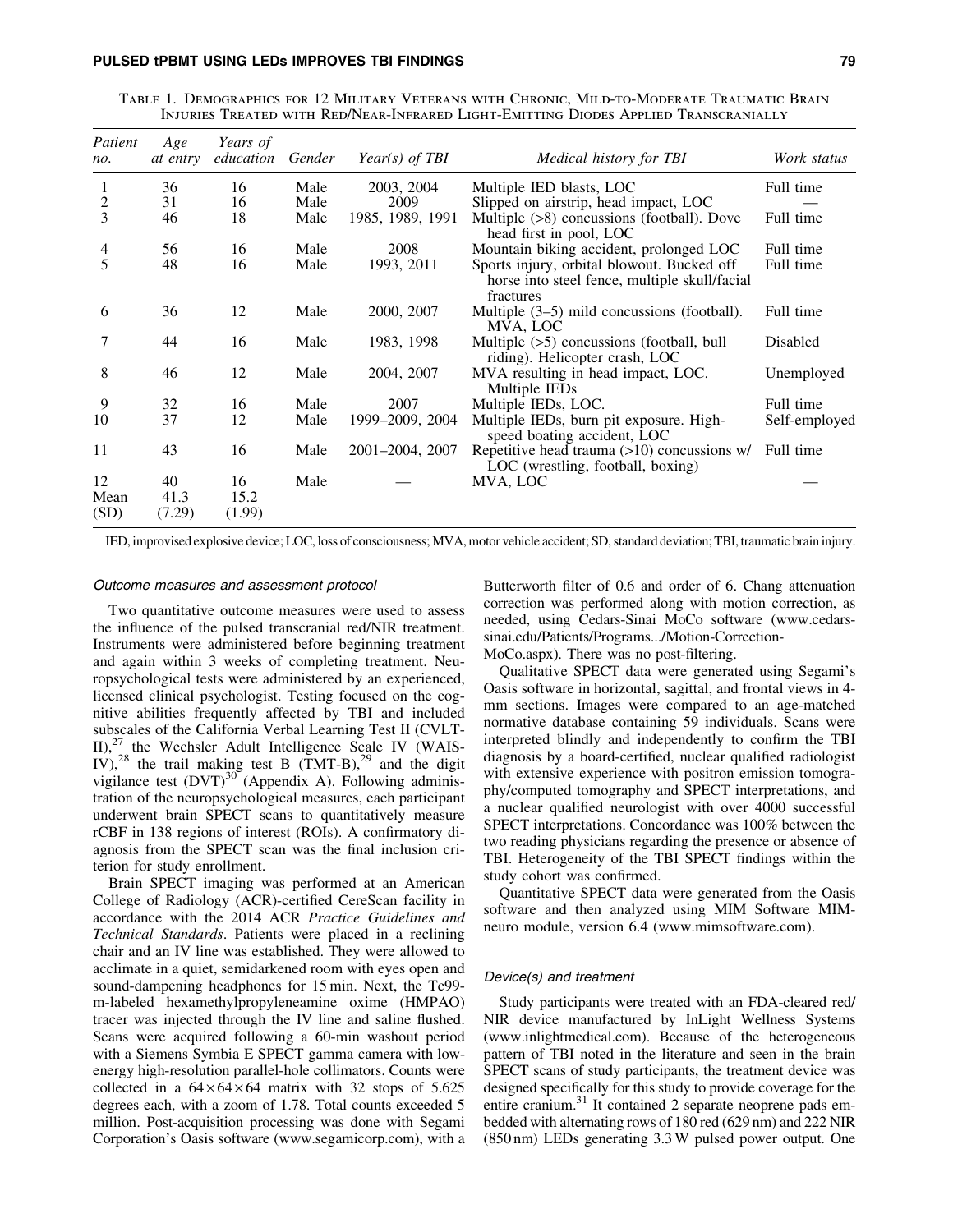Table 1. Demographics for 12 Military Veterans with Chronic, Mild-to-Moderate Traumatic Brain Injuries Treated with Red/Near-Infrared Light-Emitting Diodes Applied Transcranially

| Patient<br>no.     | Age<br>at entry      | Years of<br>education | Gender | Year(s) of TBI   | Medical history for TBI                                                                                  | Work status   |
|--------------------|----------------------|-----------------------|--------|------------------|----------------------------------------------------------------------------------------------------------|---------------|
| 1                  | 36                   | 16                    | Male   | 2003, 2004       | Multiple IED blasts, LOC                                                                                 | Full time     |
| $\overline{c}$     | 31                   | 16                    | Male   | 2009             | Slipped on airstrip, head impact, LOC                                                                    |               |
| 3                  | 46                   | 18                    | Male   | 1985, 1989, 1991 | Multiple (>8) concussions (football). Dove<br>head first in pool, LOC                                    | Full time     |
| 4                  | 56                   | 16                    | Male   | 2008             | Mountain biking accident, prolonged LOC                                                                  | Full time     |
| 5                  | 48                   | 16                    | Male   | 1993, 2011       | Sports injury, orbital blowout. Bucked off<br>horse into steel fence, multiple skull/facial<br>fractures | Full time     |
| 6                  | 36                   | 12                    | Male   | 2000, 2007       | Multiple $(3-5)$ mild concussions (football).<br>MVA, LOC                                                | Full time     |
| 7                  | 44                   | 16                    | Male   | 1983, 1998       | Multiple $(5)$ concussions (football, bull<br>riding). Helicopter crash, LOC                             | Disabled      |
| 8                  | 46                   | 12                    | Male   | 2004, 2007       | MVA resulting in head impact, LOC.<br>Multiple IEDs                                                      | Unemployed    |
| 9                  | 32                   | 16                    | Male   | 2007             | Multiple IEDs, LOC.                                                                                      | Full time     |
| 10                 | 37                   | 12                    | Male   | 1999–2009, 2004  | Multiple IEDs, burn pit exposure. High-<br>speed boating accident, LOC                                   | Self-employed |
| 11                 | 43                   | 16                    | Male   | 2001-2004, 2007  | Repetitive head trauma $(>10)$ concussions w/<br>LOC (wrestling, football, boxing)                       | Full time     |
| 12<br>Mean<br>(SD) | 40<br>41.3<br>(7.29) | 16<br>15.2<br>(1.99)  | Male   |                  | MVA, LOC                                                                                                 |               |

IED, improvised explosive device; LOC, loss of consciousness; MVA, motor vehicle accident; SD, standard deviation; TBI, traumatic brain injury.

#### Outcome measures and assessment protocol

Two quantitative outcome measures were used to assess the influence of the pulsed transcranial red/NIR treatment. Instruments were administered before beginning treatment and again within 3 weeks of completing treatment. Neuropsychological tests were administered by an experienced, licensed clinical psychologist. Testing focused on the cognitive abilities frequently affected by TBI and included subscales of the California Verbal Learning Test II (CVLT- $II$ <sup>27</sup> the Wechsler Adult Intelligence Scale IV (WAIS-IV),<sup>28</sup> the trail making test B (TMT-B),<sup>29</sup> and the digit vigilance test  $(DVT)^{30}$  (Appendix A). Following administration of the neuropsychological measures, each participant underwent brain SPECT scans to quantitatively measure rCBF in 138 regions of interest (ROIs). A confirmatory diagnosis from the SPECT scan was the final inclusion criterion for study enrollment.

Brain SPECT imaging was performed at an American College of Radiology (ACR)-certified CereScan facility in accordance with the 2014 ACR *Practice Guidelines and Technical Standards*. Patients were placed in a reclining chair and an IV line was established. They were allowed to acclimate in a quiet, semidarkened room with eyes open and sound-dampening headphones for 15 min. Next, the Tc99 m-labeled hexamethylpropyleneamine oxime (HMPAO) tracer was injected through the IV line and saline flushed. Scans were acquired following a 60-min washout period with a Siemens Symbia E SPECT gamma camera with lowenergy high-resolution parallel-hole collimators. Counts were collected in a  $64 \times 64 \times 64$  matrix with 32 stops of 5.625 degrees each, with a zoom of 1.78. Total counts exceeded 5 million. Post-acquisition processing was done with Segami Corporation's Oasis software (www.segamicorp.com), with a Butterworth filter of 0.6 and order of 6. Chang attenuation correction was performed along with motion correction, as needed, using Cedars-Sinai MoCo software (www.cedarssinai.edu/Patients/Programs.../Motion-Correction-

MoCo.aspx). There was no post-filtering.

Qualitative SPECT data were generated using Segami's Oasis software in horizontal, sagittal, and frontal views in 4 mm sections. Images were compared to an age-matched normative database containing 59 individuals. Scans were interpreted blindly and independently to confirm the TBI diagnosis by a board-certified, nuclear qualified radiologist with extensive experience with positron emission tomography/computed tomography and SPECT interpretations, and a nuclear qualified neurologist with over 4000 successful SPECT interpretations. Concordance was 100% between the two reading physicians regarding the presence or absence of TBI. Heterogeneity of the TBI SPECT findings within the study cohort was confirmed.

Quantitative SPECT data were generated from the Oasis software and then analyzed using MIM Software MIMneuro module, version 6.4 (www.mimsoftware.com).

# Device(s) and treatment

Study participants were treated with an FDA-cleared red/ NIR device manufactured by InLight Wellness Systems (www.inlightmedical.com). Because of the heterogeneous pattern of TBI noted in the literature and seen in the brain SPECT scans of study participants, the treatment device was designed specifically for this study to provide coverage for the entire cranium.<sup>31</sup> It contained 2 separate neoprene pads embedded with alternating rows of 180 red (629 nm) and 222 NIR (850 nm) LEDs generating 3.3W pulsed power output. One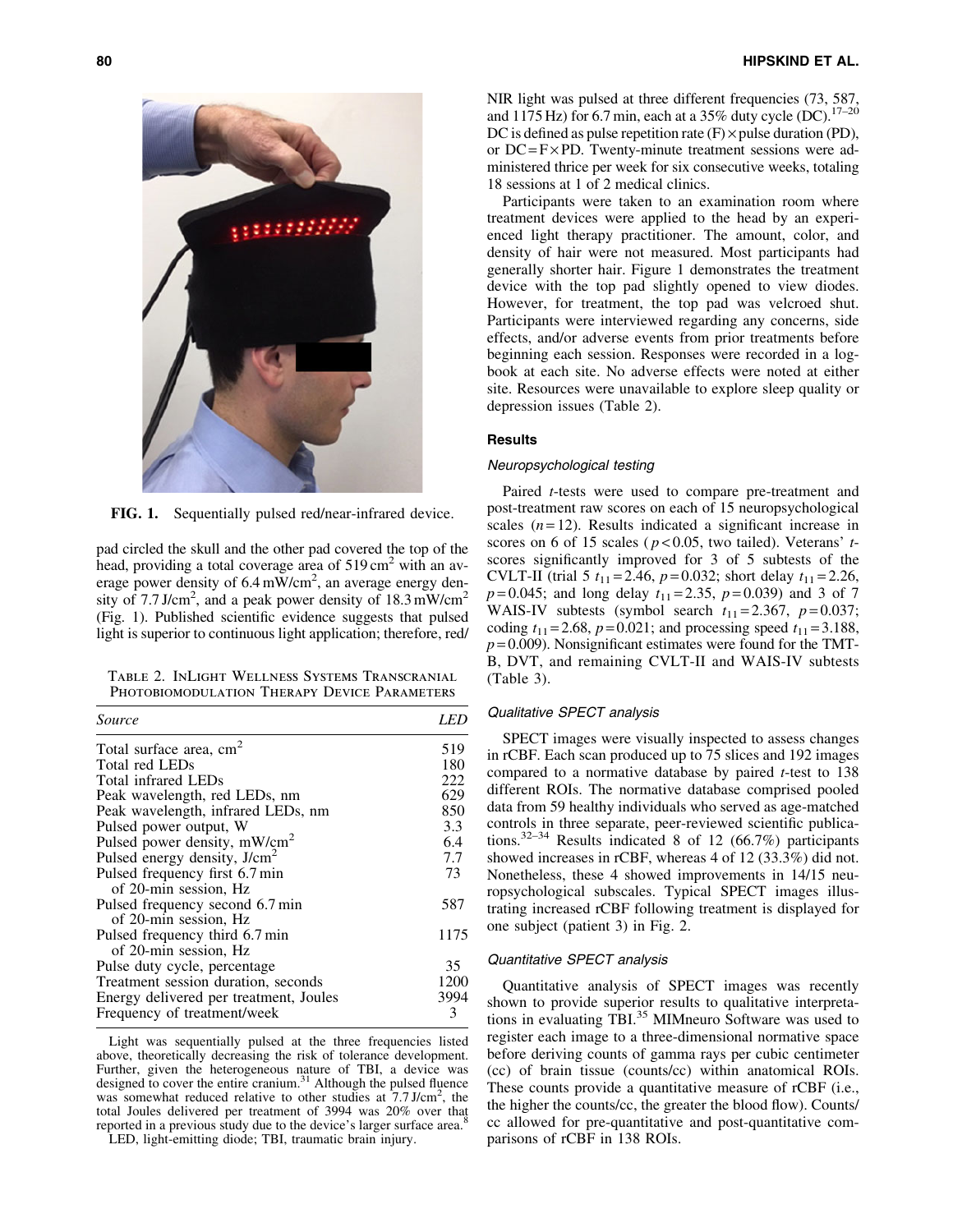

FIG. 1. Sequentially pulsed red/near-infrared device.

pad circled the skull and the other pad covered the top of the head, providing a total coverage area of  $519 \text{ cm}^2$  with an average power density of  $6.4 \text{ mW/cm}^2$ , an average energy density of 7.7 J/cm<sup>2</sup>, and a peak power density of 18.3 mW/cm<sup>2</sup> (Fig. 1). Published scientific evidence suggests that pulsed light is superior to continuous light application; therefore, red/

Table 2. InLight Wellness Systems Transcranial PHOTOBIOMODULATION THERAPY DEVICE PARAMETERS

| Source                                   | LED. |  |
|------------------------------------------|------|--|
| Total surface area, cm <sup>2</sup>      | 519  |  |
| Total red LEDs                           | 180  |  |
| Total infrared LEDs                      | 222  |  |
| Peak wavelength, red LEDs, nm            | 629  |  |
| Peak wavelength, infrared LEDs, nm       | 850  |  |
| Pulsed power output, W                   | 3.3  |  |
| Pulsed power density, mW/cm <sup>2</sup> | 6.4  |  |
| Pulsed energy density, J/cm <sup>2</sup> | 7.7  |  |
| Pulsed frequency first 6.7 min           | 73   |  |
| of 20-min session, Hz                    |      |  |
| Pulsed frequency second 6.7 min          | 587  |  |
| of 20-min session, Hz                    |      |  |
| Pulsed frequency third 6.7 min           | 1175 |  |
| of 20-min session, Hz                    |      |  |
| Pulse duty cycle, percentage             | 35   |  |
| Treatment session duration, seconds      | 1200 |  |
| Energy delivered per treatment, Joules   | 3994 |  |
| Frequency of treatment/week              | 3    |  |

Light was sequentially pulsed at the three frequencies listed above, theoretically decreasing the risk of tolerance development. Further, given the heterogeneous nature of TBI, a device was designed to cover the entire cranium.<sup>31</sup> Although the pulsed fluence was somewhat reduced relative to other studies at  $7.7 \text{ J/cm}^2$ , the total Joules delivered per treatment of 3994 was 20% over that reported in a previous study due to the device's larger surface area.<sup>8</sup>

LED, light-emitting diode; TBI, traumatic brain injury.

NIR light was pulsed at three different frequencies (73, 587, and 1175 Hz) for 6.7 min, each at a 35% duty cycle (DC).<sup>17-20</sup> DC is defined as pulse repetition rate  $(F) \times$  pulse duration  $(PD)$ , or  $DC = F \times PD$ . Twenty-minute treatment sessions were administered thrice per week for six consecutive weeks, totaling 18 sessions at 1 of 2 medical clinics.

Participants were taken to an examination room where treatment devices were applied to the head by an experienced light therapy practitioner. The amount, color, and density of hair were not measured. Most participants had generally shorter hair. Figure 1 demonstrates the treatment device with the top pad slightly opened to view diodes. However, for treatment, the top pad was velcroed shut. Participants were interviewed regarding any concerns, side effects, and/or adverse events from prior treatments before beginning each session. Responses were recorded in a logbook at each site. No adverse effects were noted at either site. Resources were unavailable to explore sleep quality or depression issues (Table 2).

# **Results**

#### Neuropsychological testing

Paired *t*-tests were used to compare pre-treatment and post-treatment raw scores on each of 15 neuropsychological scales  $(n=12)$ . Results indicated a significant increase in scores on 6 of 15 scales ( *p* < 0.05, two tailed). Veterans' *t*scores significantly improved for 3 of 5 subtests of the CVLT-II (trial 5  $t_{11} = 2.46$ ,  $p = 0.032$ ; short delay  $t_{11} = 2.26$ ,  $p=0.045$ ; and long delay  $t_{11} = 2.35$ ,  $p=0.039$ ) and 3 of 7 WAIS-IV subtests (symbol search  $t_{11} = 2.367$ ,  $p = 0.037$ ; coding  $t_{11} = 2.68$ ,  $p = 0.021$ ; and processing speed  $t_{11} = 3.188$ ,  $p = 0.009$ ). Nonsignificant estimates were found for the TMT-B, DVT, and remaining CVLT-II and WAIS-IV subtests (Table 3).

# Qualitative SPECT analysis

SPECT images were visually inspected to assess changes in rCBF. Each scan produced up to 75 slices and 192 images compared to a normative database by paired *t*-test to 138 different ROIs. The normative database comprised pooled data from 59 healthy individuals who served as age-matched controls in three separate, peer-reviewed scientific publications.32–34 Results indicated 8 of 12 (66.7%) participants showed increases in rCBF, whereas 4 of 12 (33.3%) did not. Nonetheless, these 4 showed improvements in 14/15 neuropsychological subscales. Typical SPECT images illustrating increased rCBF following treatment is displayed for one subject (patient 3) in Fig. 2.

#### Quantitative SPECT analysis

Quantitative analysis of SPECT images was recently shown to provide superior results to qualitative interpretations in evaluating TBI.<sup>35</sup> MIMneuro Software was used to register each image to a three-dimensional normative space before deriving counts of gamma rays per cubic centimeter (cc) of brain tissue (counts/cc) within anatomical ROIs. These counts provide a quantitative measure of rCBF (i.e., the higher the counts/cc, the greater the blood flow). Counts/ cc allowed for pre-quantitative and post-quantitative comparisons of rCBF in 138 ROIs.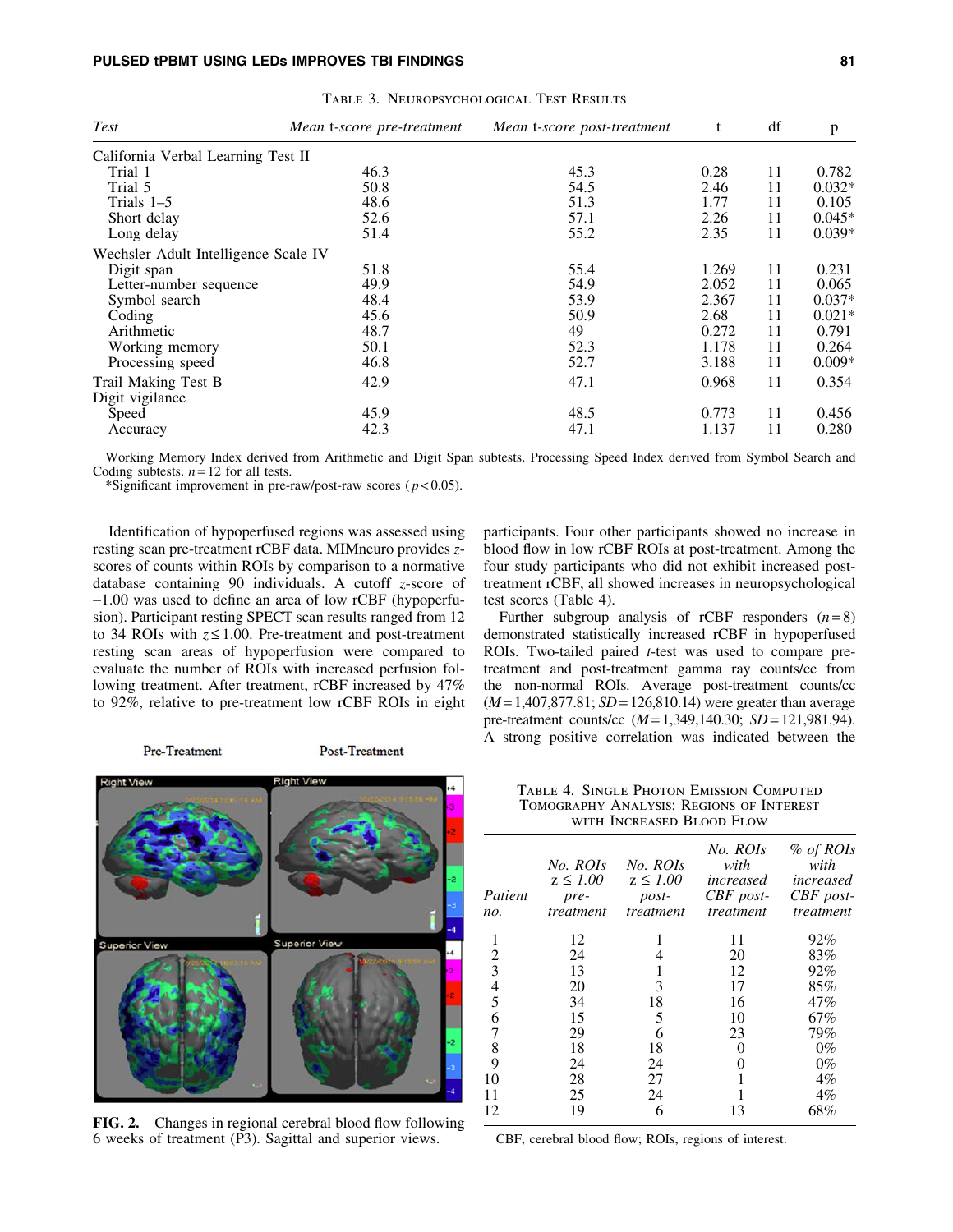| <b>Test</b>                          | Mean t-score pre-treatment | Mean t-score post-treatment | t     | df | p        |
|--------------------------------------|----------------------------|-----------------------------|-------|----|----------|
| California Verbal Learning Test II   |                            |                             |       |    |          |
| Trial 1                              | 46.3                       | 45.3                        | 0.28  | 11 | 0.782    |
| Trial 5                              | 50.8                       | 54.5                        | 2.46  | 11 | $0.032*$ |
| Trials $1-5$                         | 48.6                       | 51.3                        | 1.77  | 11 | 0.105    |
| Short delay                          | 52.6                       | 57.1                        | 2.26  | 11 | $0.045*$ |
| Long delay                           | 51.4                       | 55.2                        | 2.35  | 11 | $0.039*$ |
| Wechsler Adult Intelligence Scale IV |                            |                             |       |    |          |
| Digit span                           | 51.8                       | 55.4                        | 1.269 | 11 | 0.231    |
| Letter-number sequence               | 49.9                       | 54.9                        | 2.052 | 11 | 0.065    |
| Symbol search                        | 48.4                       | 53.9                        | 2.367 | 11 | $0.037*$ |
| Coding                               | 45.6                       | 50.9                        | 2.68  | 11 | $0.021*$ |
| Arithmetic                           | 48.7                       | 49                          | 0.272 | 11 | 0.791    |
| Working memory                       | 50.1                       | 52.3                        | 1.178 | 11 | 0.264    |
| Processing speed                     | 46.8                       | 52.7                        | 3.188 | 11 | $0.009*$ |
| Trail Making Test B                  | 42.9                       | 47.1                        | 0.968 | 11 | 0.354    |
| Digit vigilance                      |                            |                             |       |    |          |
| Speed                                | 45.9                       | 48.5                        | 0.773 | 11 | 0.456    |
| Accuracy                             | 42.3                       | 47.1                        | 1.137 | 11 | 0.280    |

Table 3. Neuropsychological Test Results

Working Memory Index derived from Arithmetic and Digit Span subtests. Processing Speed Index derived from Symbol Search and Coding subtests.  $n = 12$  for all tests.

\*Significant improvement in pre-raw/post-raw scores ( $p$  < 0.05).

Identification of hypoperfused regions was assessed using resting scan pre-treatment rCBF data. MIMneuro provides *z*scores of counts within ROIs by comparison to a normative database containing 90 individuals. A cutoff *z*-score of -1.00 was used to define an area of low rCBF (hypoperfusion). Participant resting SPECT scan results ranged from 12 to 34 ROIs with  $z \le 1.00$ . Pre-treatment and post-treatment resting scan areas of hypoperfusion were compared to evaluate the number of ROIs with increased perfusion following treatment. After treatment, rCBF increased by 47% to 92%, relative to pre-treatment low rCBF ROIs in eight

Pre-Treatment

**Post-Treatment** 



FIG. 2. Changes in regional cerebral blood flow following 6 weeks of treatment (P3). Sagittal and superior views.

participants. Four other participants showed no increase in blood flow in low rCBF ROIs at post-treatment. Among the four study participants who did not exhibit increased posttreatment rCBF, all showed increases in neuropsychological test scores (Table 4).

Further subgroup analysis of rCBF responders  $(n=8)$ demonstrated statistically increased rCBF in hypoperfused ROIs. Two-tailed paired *t*-test was used to compare pretreatment and post-treatment gamma ray counts/cc from the non-normal ROIs. Average post-treatment counts/cc (*M* = 1,407,877.81; *SD* = 126,810.14) were greater than average pre-treatment counts/cc (*M* = 1,349,140.30; *SD* = 121,981.94). A strong positive correlation was indicated between the

Table 4. Single Photon Emission Computed Tomography Analysis: Regions of Interest with Increased Blood Flow

| Patient<br>no. | No. ROIs<br>$z \leq 1.00$<br>pre-<br>treatment | No. ROIs<br>$z \leq 1.00$<br>$post-$<br>treatment | No. ROIs<br>with<br>increased<br>$CBF$ post-<br>treatment | % of ROIs<br>with<br>increased<br>$CBF$ post-<br>treatment |
|----------------|------------------------------------------------|---------------------------------------------------|-----------------------------------------------------------|------------------------------------------------------------|
| 1              | 12                                             |                                                   | 11                                                        | 92%                                                        |
| 2              | 24                                             |                                                   | 20                                                        | 83%                                                        |
| 3              | 13                                             |                                                   | 12                                                        | 92%                                                        |
| 4              | 20                                             | 3                                                 | 17                                                        | 85%                                                        |
| 5              | 34                                             | 18                                                | 16                                                        | 47%                                                        |
| 6              | 15                                             | 5                                                 | 10                                                        | 67%                                                        |
| 7              | 29                                             | 6                                                 | 23                                                        | 79%                                                        |
| 8              | 18                                             | 18                                                | $\mathbf{\Omega}$                                         | $0\%$                                                      |
| 9              | 24                                             | 24                                                |                                                           | $0\%$                                                      |
| 10             | 28                                             | 27                                                |                                                           | $4\%$                                                      |
| 11             | 25                                             | 24                                                |                                                           | $4\%$                                                      |
| 12             | 19                                             | 6                                                 | 13                                                        | 68%                                                        |

CBF, cerebral blood flow; ROIs, regions of interest.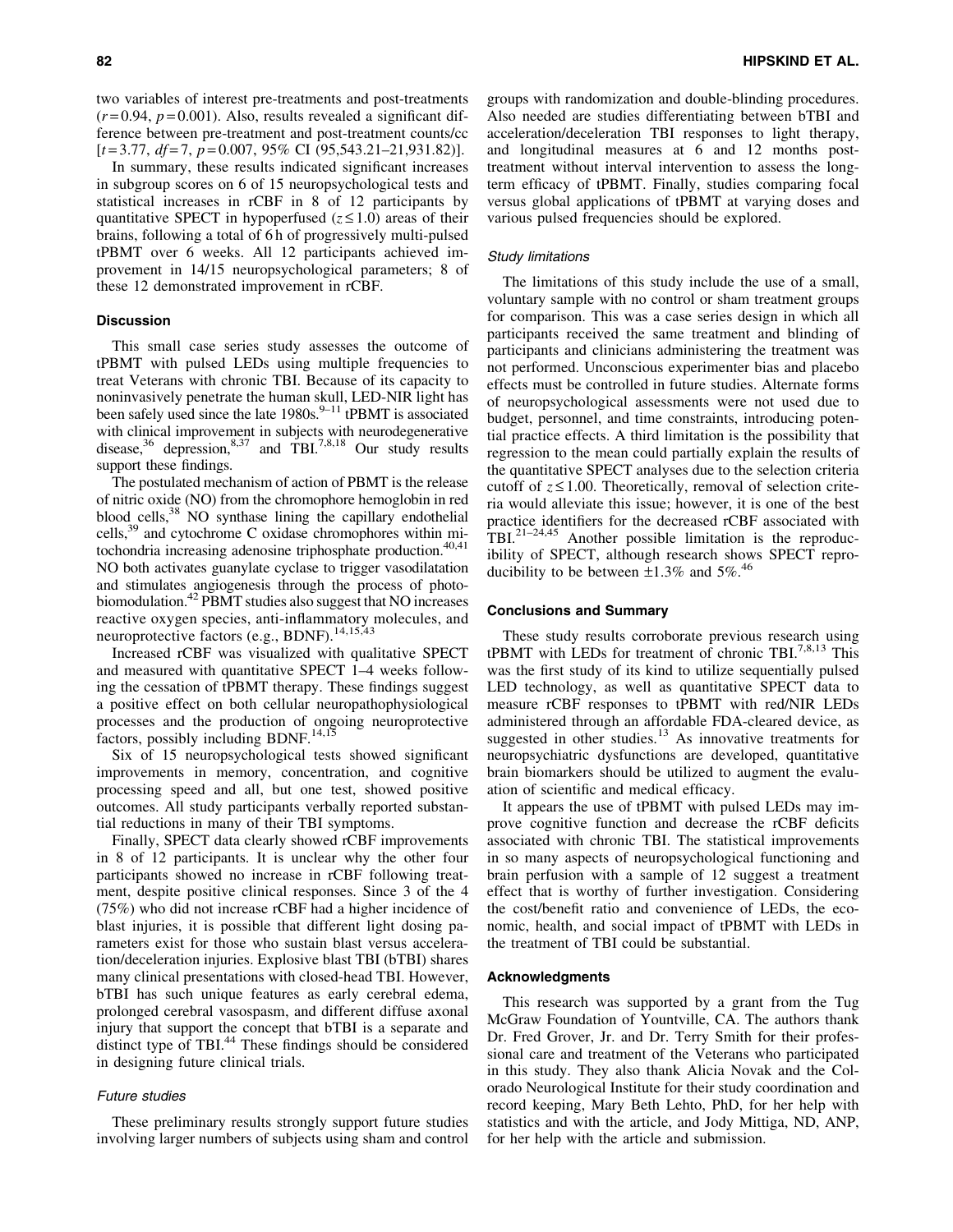two variables of interest pre-treatments and post-treatments  $(r=0.94, p=0.001)$ . Also, results revealed a significant difference between pre-treatment and post-treatment counts/cc [*t* = 3.77, *df* = 7, *p* = 0.007, 95% CI (95,543.21–21,931.82)].

In summary, these results indicated significant increases in subgroup scores on 6 of 15 neuropsychological tests and statistical increases in rCBF in 8 of 12 participants by quantitative SPECT in hypoperfused  $(z \le 1.0)$  areas of their brains, following a total of 6 h of progressively multi-pulsed tPBMT over 6 weeks. All 12 participants achieved improvement in 14/15 neuropsychological parameters; 8 of these 12 demonstrated improvement in rCBF.

## **Discussion**

This small case series study assesses the outcome of tPBMT with pulsed LEDs using multiple frequencies to treat Veterans with chronic TBI. Because of its capacity to noninvasively penetrate the human skull, LED-NIR light has been safely used since the late  $1980s$ .<sup>9–11</sup> tPBMT is associated with clinical improvement in subjects with neurodegenerative disease, $36$  depression, $8,37$  and TBI.<sup>7,8,18</sup> Our study results support these findings.

The postulated mechanism of action of PBMT is the release of nitric oxide (NO) from the chromophore hemoglobin in red blood cells, $38$  NO synthase lining the capillary endothelial cells,39 and cytochrome C oxidase chromophores within mitochondria increasing adenosine triphosphate production.<sup>40,41</sup> NO both activates guanylate cyclase to trigger vasodilatation and stimulates angiogenesis through the process of photobiomodulation.42 PBMT studies also suggest that NO increases reactive oxygen species, anti-inflammatory molecules, and neuroprotective factors (e.g., BDNF).<sup>14,15,43</sup>

Increased rCBF was visualized with qualitative SPECT and measured with quantitative SPECT 1–4 weeks following the cessation of tPBMT therapy. These findings suggest a positive effect on both cellular neuropathophysiological processes and the production of ongoing neuroprotective factors, possibly including BDNF.<sup>14,15</sup>

Six of 15 neuropsychological tests showed significant improvements in memory, concentration, and cognitive processing speed and all, but one test, showed positive outcomes. All study participants verbally reported substantial reductions in many of their TBI symptoms.

Finally, SPECT data clearly showed rCBF improvements in 8 of 12 participants. It is unclear why the other four participants showed no increase in rCBF following treatment, despite positive clinical responses. Since 3 of the 4 (75%) who did not increase rCBF had a higher incidence of blast injuries, it is possible that different light dosing parameters exist for those who sustain blast versus acceleration/deceleration injuries. Explosive blast TBI (bTBI) shares many clinical presentations with closed-head TBI. However, bTBI has such unique features as early cerebral edema, prolonged cerebral vasospasm, and different diffuse axonal injury that support the concept that bTBI is a separate and distinct type of TBI.<sup>44</sup> These findings should be considered in designing future clinical trials.

# Future studies

These preliminary results strongly support future studies involving larger numbers of subjects using sham and control groups with randomization and double-blinding procedures. Also needed are studies differentiating between bTBI and acceleration/deceleration TBI responses to light therapy, and longitudinal measures at 6 and 12 months posttreatment without interval intervention to assess the longterm efficacy of tPBMT. Finally, studies comparing focal versus global applications of tPBMT at varying doses and various pulsed frequencies should be explored.

#### Study limitations

The limitations of this study include the use of a small, voluntary sample with no control or sham treatment groups for comparison. This was a case series design in which all participants received the same treatment and blinding of participants and clinicians administering the treatment was not performed. Unconscious experimenter bias and placebo effects must be controlled in future studies. Alternate forms of neuropsychological assessments were not used due to budget, personnel, and time constraints, introducing potential practice effects. A third limitation is the possibility that regression to the mean could partially explain the results of the quantitative SPECT analyses due to the selection criteria cutoff of  $z \le 1.00$ . Theoretically, removal of selection criteria would alleviate this issue; however, it is one of the best practice identifiers for the decreased rCBF associated with TBI. $^{21-24,45}$  Another possible limitation is the reproducibility of SPECT, although research shows SPECT reproducibility to be between  $\pm 1.3\%$  and  $5\%$ .<sup>46</sup>

## Conclusions and Summary

These study results corroborate previous research using tPBMT with LEDs for treatment of chronic TBI.<sup>7,8,13</sup> This was the first study of its kind to utilize sequentially pulsed LED technology, as well as quantitative SPECT data to measure rCBF responses to tPBMT with red/NIR LEDs administered through an affordable FDA-cleared device, as suggested in other studies.<sup>13</sup> As innovative treatments for neuropsychiatric dysfunctions are developed, quantitative brain biomarkers should be utilized to augment the evaluation of scientific and medical efficacy.

It appears the use of tPBMT with pulsed LEDs may improve cognitive function and decrease the rCBF deficits associated with chronic TBI. The statistical improvements in so many aspects of neuropsychological functioning and brain perfusion with a sample of 12 suggest a treatment effect that is worthy of further investigation. Considering the cost/benefit ratio and convenience of LEDs, the economic, health, and social impact of tPBMT with LEDs in the treatment of TBI could be substantial.

# Acknowledgments

This research was supported by a grant from the Tug McGraw Foundation of Yountville, CA. The authors thank Dr. Fred Grover, Jr. and Dr. Terry Smith for their professional care and treatment of the Veterans who participated in this study. They also thank Alicia Novak and the Colorado Neurological Institute for their study coordination and record keeping, Mary Beth Lehto, PhD, for her help with statistics and with the article, and Jody Mittiga, ND, ANP, for her help with the article and submission.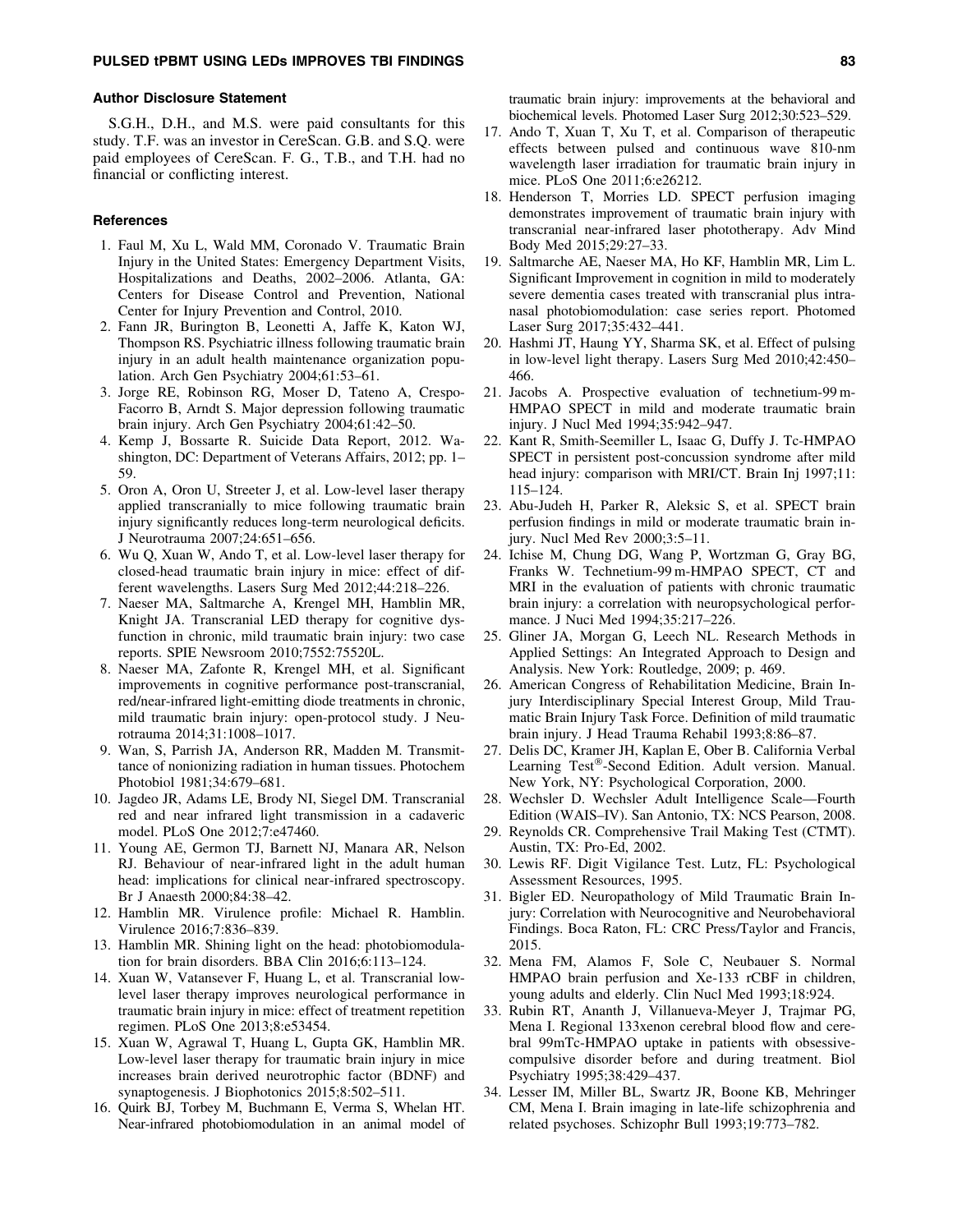#### Author Disclosure Statement

S.G.H., D.H., and M.S. were paid consultants for this study. T.F. was an investor in CereScan. G.B. and S.Q. were paid employees of CereScan. F. G., T.B., and T.H. had no financial or conflicting interest.

#### **References**

- 1. Faul M, Xu L, Wald MM, Coronado V. Traumatic Brain Injury in the United States: Emergency Department Visits, Hospitalizations and Deaths, 2002–2006. Atlanta, GA: Centers for Disease Control and Prevention, National Center for Injury Prevention and Control, 2010.
- 2. Fann JR, Burington B, Leonetti A, Jaffe K, Katon WJ, Thompson RS. Psychiatric illness following traumatic brain injury in an adult health maintenance organization population. Arch Gen Psychiatry 2004;61:53–61.
- 3. Jorge RE, Robinson RG, Moser D, Tateno A, Crespo-Facorro B, Arndt S. Major depression following traumatic brain injury. Arch Gen Psychiatry 2004;61:42–50.
- 4. Kemp J, Bossarte R. Suicide Data Report, 2012. Washington, DC: Department of Veterans Affairs, 2012; pp. 1– 59.
- 5. Oron A, Oron U, Streeter J, et al. Low-level laser therapy applied transcranially to mice following traumatic brain injury significantly reduces long-term neurological deficits. J Neurotrauma 2007;24:651–656.
- 6. Wu Q, Xuan W, Ando T, et al. Low-level laser therapy for closed-head traumatic brain injury in mice: effect of different wavelengths. Lasers Surg Med 2012;44:218–226.
- 7. Naeser MA, Saltmarche A, Krengel MH, Hamblin MR, Knight JA. Transcranial LED therapy for cognitive dysfunction in chronic, mild traumatic brain injury: two case reports. SPIE Newsroom 2010;7552:75520L.
- 8. Naeser MA, Zafonte R, Krengel MH, et al. Significant improvements in cognitive performance post-transcranial, red/near-infrared light-emitting diode treatments in chronic, mild traumatic brain injury: open-protocol study. J Neurotrauma 2014;31:1008–1017.
- 9. Wan, S, Parrish JA, Anderson RR, Madden M. Transmittance of nonionizing radiation in human tissues. Photochem Photobiol 1981;34:679–681.
- 10. Jagdeo JR, Adams LE, Brody NI, Siegel DM. Transcranial red and near infrared light transmission in a cadaveric model. PLoS One 2012;7:e47460.
- 11. Young AE, Germon TJ, Barnett NJ, Manara AR, Nelson RJ. Behaviour of near-infrared light in the adult human head: implications for clinical near-infrared spectroscopy. Br J Anaesth 2000;84:38–42.
- 12. Hamblin MR. Virulence profile: Michael R. Hamblin. Virulence 2016;7:836–839.
- 13. Hamblin MR. Shining light on the head: photobiomodulation for brain disorders. BBA Clin 2016;6:113–124.
- 14. Xuan W, Vatansever F, Huang L, et al. Transcranial lowlevel laser therapy improves neurological performance in traumatic brain injury in mice: effect of treatment repetition regimen. PLoS One 2013;8:e53454.
- 15. Xuan W, Agrawal T, Huang L, Gupta GK, Hamblin MR. Low-level laser therapy for traumatic brain injury in mice increases brain derived neurotrophic factor (BDNF) and synaptogenesis. J Biophotonics 2015;8:502–511.
- 16. Quirk BJ, Torbey M, Buchmann E, Verma S, Whelan HT. Near-infrared photobiomodulation in an animal model of

traumatic brain injury: improvements at the behavioral and biochemical levels. Photomed Laser Surg 2012;30:523–529.

- 17. Ando T, Xuan T, Xu T, et al. Comparison of therapeutic effects between pulsed and continuous wave 810-nm wavelength laser irradiation for traumatic brain injury in mice. PLoS One 2011;6:e26212.
- 18. Henderson T, Morries LD. SPECT perfusion imaging demonstrates improvement of traumatic brain injury with transcranial near-infrared laser phototherapy. Adv Mind Body Med 2015;29:27–33.
- 19. Saltmarche AE, Naeser MA, Ho KF, Hamblin MR, Lim L. Significant Improvement in cognition in mild to moderately severe dementia cases treated with transcranial plus intranasal photobiomodulation: case series report. Photomed Laser Surg 2017;35:432–441.
- 20. Hashmi JT, Haung YY, Sharma SK, et al. Effect of pulsing in low-level light therapy. Lasers Surg Med 2010;42:450– 466.
- 21. Jacobs A. Prospective evaluation of technetium-99 m-HMPAO SPECT in mild and moderate traumatic brain injury. J Nucl Med 1994;35:942–947.
- 22. Kant R, Smith-Seemiller L, Isaac G, Duffy J. Tc-HMPAO SPECT in persistent post-concussion syndrome after mild head injury: comparison with MRI/CT. Brain Inj 1997;11: 115–124.
- 23. Abu-Judeh H, Parker R, Aleksic S, et al. SPECT brain perfusion findings in mild or moderate traumatic brain injury. Nucl Med Rev 2000;3:5–11.
- 24. Ichise M, Chung DG, Wang P, Wortzman G, Gray BG, Franks W. Technetium-99 m-HMPAO SPECT, CT and MRI in the evaluation of patients with chronic traumatic brain injury: a correlation with neuropsychological performance. J Nuci Med 1994;35:217–226.
- 25. Gliner JA, Morgan G, Leech NL. Research Methods in Applied Settings: An Integrated Approach to Design and Analysis. New York: Routledge, 2009; p. 469.
- 26. American Congress of Rehabilitation Medicine, Brain Injury Interdisciplinary Special Interest Group, Mild Traumatic Brain Injury Task Force. Definition of mild traumatic brain injury. J Head Trauma Rehabil 1993;8:86–87.
- 27. Delis DC, Kramer JH, Kaplan E, Ober B. California Verbal Learning Test®-Second Edition. Adult version. Manual. New York, NY: Psychological Corporation, 2000.
- 28. Wechsler D. Wechsler Adult Intelligence Scale—Fourth Edition (WAIS–IV). San Antonio, TX: NCS Pearson, 2008.
- 29. Reynolds CR. Comprehensive Trail Making Test (CTMT). Austin, TX: Pro-Ed, 2002.
- 30. Lewis RF. Digit Vigilance Test. Lutz, FL: Psychological Assessment Resources, 1995.
- 31. Bigler ED. Neuropathology of Mild Traumatic Brain Injury: Correlation with Neurocognitive and Neurobehavioral Findings. Boca Raton, FL: CRC Press/Taylor and Francis, 2015.
- 32. Mena FM, Alamos F, Sole C, Neubauer S. Normal HMPAO brain perfusion and Xe-133 rCBF in children, young adults and elderly. Clin Nucl Med 1993;18:924.
- 33. Rubin RT, Ananth J, Villanueva-Meyer J, Trajmar PG, Mena I. Regional 133xenon cerebral blood flow and cerebral 99mTc-HMPAO uptake in patients with obsessivecompulsive disorder before and during treatment. Biol Psychiatry 1995;38:429–437.
- 34. Lesser IM, Miller BL, Swartz JR, Boone KB, Mehringer CM, Mena I. Brain imaging in late-life schizophrenia and related psychoses. Schizophr Bull 1993;19:773–782.